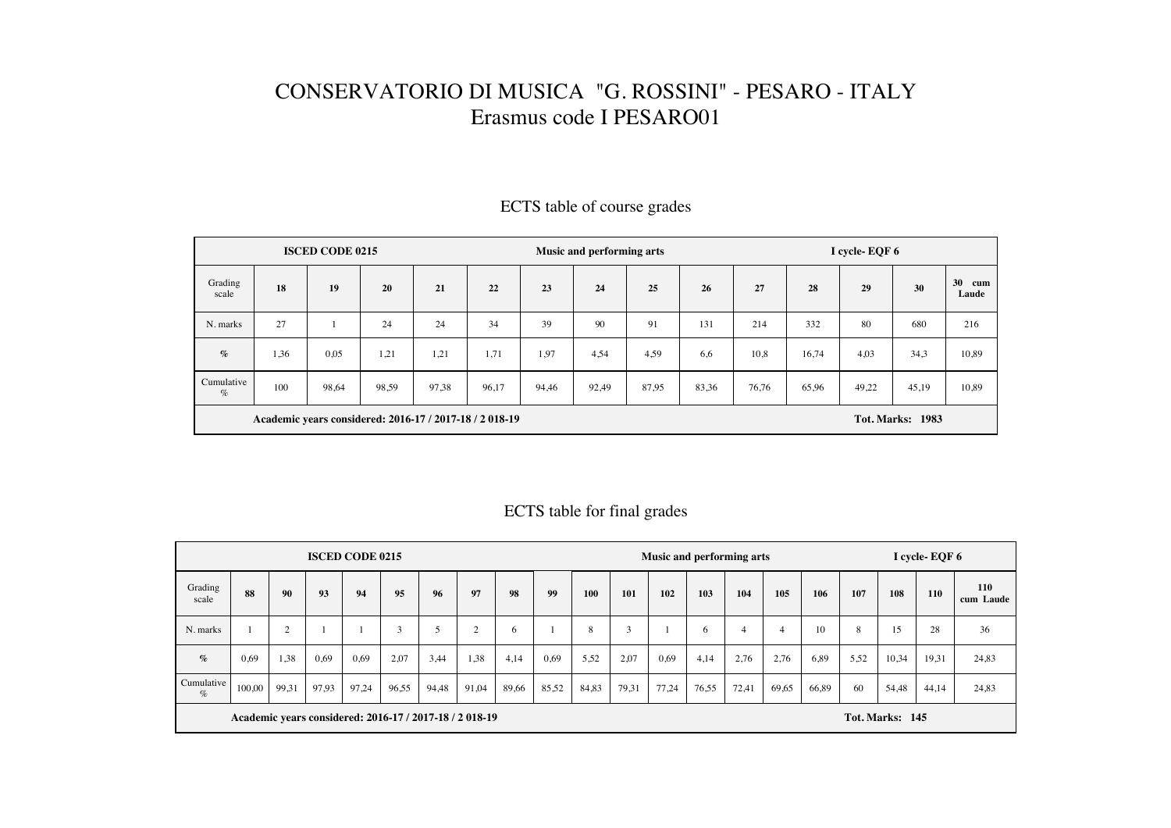## CONSERVATORIO DI MUSICA "G. ROSSINI" - PESARO - ITALY Erasmus code I PESARO01

|                    |                                                         | <b>ISCED CODE 0215</b> |                         |       |       |       | <b>Music and performing arts</b> |       |       | I cycle-EQF 6 |       |       |       |                    |  |  |
|--------------------|---------------------------------------------------------|------------------------|-------------------------|-------|-------|-------|----------------------------------|-------|-------|---------------|-------|-------|-------|--------------------|--|--|
| Grading<br>scale   | 18                                                      | 19                     | 20                      | 21    | 22    | 23    | 24                               | 25    | 26    | 27            | 28    | 29    | 30    | 30<br>cum<br>Laude |  |  |
| N. marks           | 27                                                      |                        | 24                      | 24    | 34    | 39    | 90                               | 91    | 131   | 214           | 332   | 80    | 680   | 216                |  |  |
| $\%$               | 1,36                                                    | 0,05                   | 1,21                    | 1,21  | 1,71  | 1,97  | 4,54                             | 4,59  | 6,6   | 10,8          | 16,74 | 4,03  | 34,3  | 10,89              |  |  |
| Cumulative<br>$\%$ | 100                                                     | 98,64                  | 98,59                   | 97,38 | 96,17 | 94,46 | 92,49                            | 87.95 | 83,36 | 76,76         | 65,96 | 49,22 | 45,19 | 10,89              |  |  |
|                    | Academic years considered: 2016-17 / 2017-18 / 2 018-19 |                        | <b>Tot. Marks: 1983</b> |       |       |       |                                  |       |       |               |       |       |       |                    |  |  |

## ECTS table of course grades

## ECTS table for final grades

|                    |                                                        | Music and performing arts |       |       |        |       |       |       |       | I cycle-EQF 6 |       |       |       |                 |       |       |      |       |       |                  |
|--------------------|--------------------------------------------------------|---------------------------|-------|-------|--------|-------|-------|-------|-------|---------------|-------|-------|-------|-----------------|-------|-------|------|-------|-------|------------------|
| Grading<br>scale   | 88                                                     | 90                        | 93    | 94    | 95     | 96    | 97    | 98    | 99    | <b>100</b>    | 101   | 102   | 103   | 104             | 105   | 106   | 107  | 108   | 110   | 110<br>cum Laude |
| N. marks           |                                                        | $\sim$                    |       |       | $\sim$ |       | ◠     | 6     |       | 8             | 3     |       | 6     | 4               | 4     | 10    | 8    | 15    | 28    | 36               |
| $\%$               | 0,69                                                   | 1,38                      | 0,69  | 0,69  | 2,07   | 3,44  | 1,38  | 4,14  | 0,69  | 5,52          | 2,07  | 0,69  | 4,14  | 2,76            | 2,76  | 6,89  | 5.52 | 10,34 | 19,31 | 24,83            |
| Cumulative<br>$\%$ | 100,00                                                 | 99,31                     | 97,93 | 97,24 | 96,55  | 94,48 | 91,04 | 89,66 | 85,52 | 84,83         | 79,31 | 77,24 | 76,55 | 72,41           | 69,65 | 66,89 | 60   | 54,48 | 44,14 | 24,83            |
|                    | Academic years considered: 2016-17 / 2017-18 / 2018-19 |                           |       |       |        |       |       |       |       |               |       |       |       | Tot. Marks: 145 |       |       |      |       |       |                  |